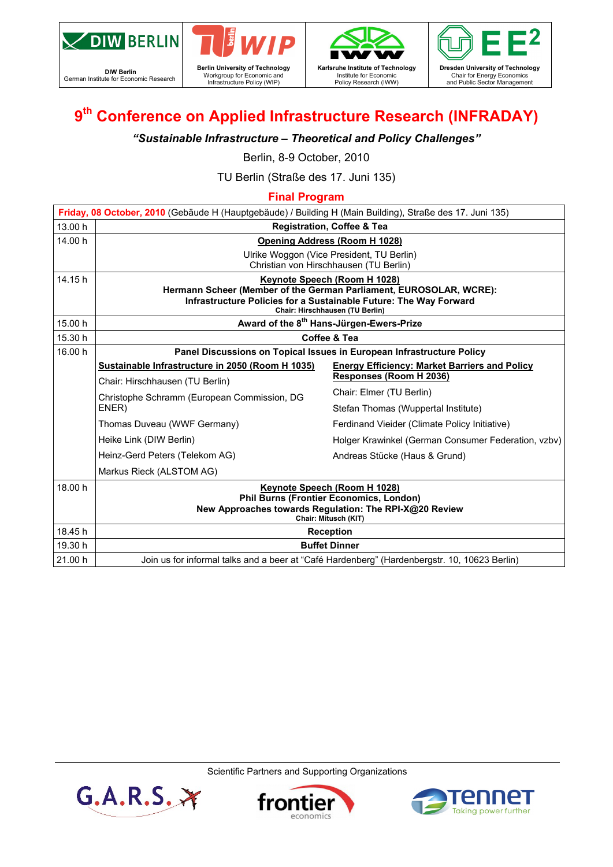

**DIW Berlin**<br>
German Institute for Economic Research

 $G.A.R.S.$ 







# **9th Conference on Applied Infrastructure Research (INFRADAY)**

### *"Sustainable Infrastructure – Theoretical and Policy Challenges"*

Berlin, 8-9 October, 2010

TU Berlin (Straße des 17. Juni 135)

### **Final Program**

|         | Friday, 08 October, 2010 (Gebäude H (Hauptgebäude) / Building H (Main Building), Straße des 17. Juni 135)                                                                                                  |                                                      |  |  |  |  |  |
|---------|------------------------------------------------------------------------------------------------------------------------------------------------------------------------------------------------------------|------------------------------------------------------|--|--|--|--|--|
| 13.00 h | <b>Registration, Coffee &amp; Tea</b>                                                                                                                                                                      |                                                      |  |  |  |  |  |
| 14.00 h | <b>Opening Address (Room H 1028)</b><br>Ulrike Woggon (Vice President, TU Berlin)<br>Christian von Hirschhausen (TU Berlin)                                                                                |                                                      |  |  |  |  |  |
| 14.15 h | Keynote Speech (Room H 1028)<br>Hermann Scheer (Member of the German Parliament, EUROSOLAR, WCRE):<br>Infrastructure Policies for a Sustainable Future: The Way Forward<br>Chair: Hirschhausen (TU Berlin) |                                                      |  |  |  |  |  |
| 15.00 h | Award of the 8 <sup>th</sup> Hans-Jürgen-Ewers-Prize                                                                                                                                                       |                                                      |  |  |  |  |  |
| 15.30 h | Coffee & Tea                                                                                                                                                                                               |                                                      |  |  |  |  |  |
| 16.00 h | Panel Discussions on Topical Issues in European Infrastructure Policy                                                                                                                                      |                                                      |  |  |  |  |  |
|         | Sustainable Infrastructure in 2050 (Room H 1035)                                                                                                                                                           | <b>Energy Efficiency: Market Barriers and Policy</b> |  |  |  |  |  |
|         | Chair: Hirschhausen (TU Berlin)                                                                                                                                                                            | Responses (Room H 2036)                              |  |  |  |  |  |
|         | Christophe Schramm (European Commission, DG<br>ENER)                                                                                                                                                       | Chair: Elmer (TU Berlin)                             |  |  |  |  |  |
|         |                                                                                                                                                                                                            | Stefan Thomas (Wuppertal Institute)                  |  |  |  |  |  |
|         | Thomas Duveau (WWF Germany)                                                                                                                                                                                | Ferdinand Vieider (Climate Policy Initiative)        |  |  |  |  |  |
|         | Heike Link (DIW Berlin)                                                                                                                                                                                    | Holger Krawinkel (German Consumer Federation, vzbv)  |  |  |  |  |  |
|         | Heinz-Gerd Peters (Telekom AG)                                                                                                                                                                             | Andreas Stücke (Haus & Grund)                        |  |  |  |  |  |
|         | Markus Rieck (ALSTOM AG)                                                                                                                                                                                   |                                                      |  |  |  |  |  |
| 18.00 h | Keynote Speech (Room H 1028)<br><b>Phil Burns (Frontier Economics, London)</b><br>New Approaches towards Regulation: The RPI-X@20 Review<br>Chair: Mitusch (KIT)                                           |                                                      |  |  |  |  |  |
| 18.45 h | <b>Reception</b>                                                                                                                                                                                           |                                                      |  |  |  |  |  |
| 19.30 h | <b>Buffet Dinner</b>                                                                                                                                                                                       |                                                      |  |  |  |  |  |
| 21.00 h | Join us for informal talks and a beer at "Café Hardenberg" (Hardenbergstr. 10, 10623 Berlin)                                                                                                               |                                                      |  |  |  |  |  |

Scientific Partners and Supporting Organizations



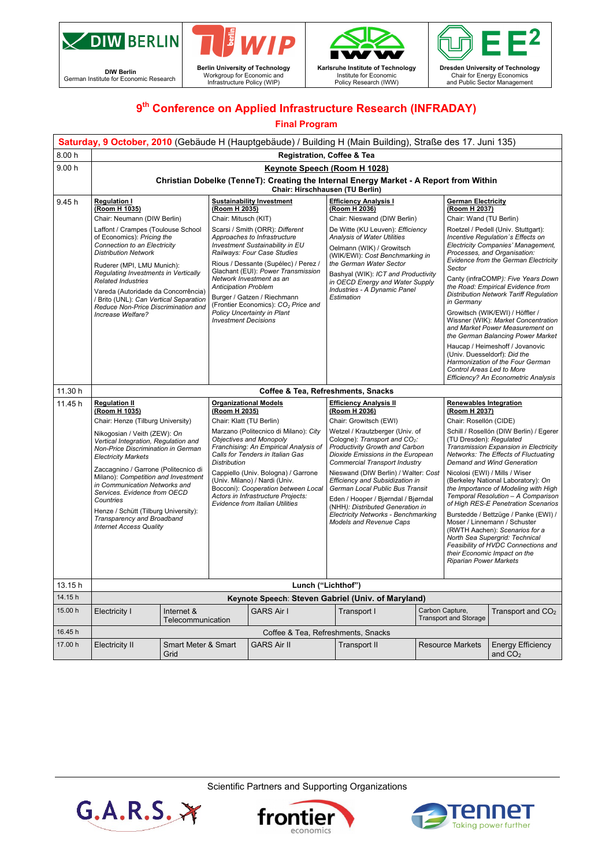

**DIW Berlin**<br>
German Institute for Economic Research





Policy Research (IWW)

Z  $\overline{\mathbb{F}}$ **Dresden University of Technology**  Chair for Energy Economics and Public Sector Management

## **9th Conference on Applied Infrastructure Research (INFRADAY)**

#### **Final Program**

|         | Saturday, 9 October, 2010 (Gebäude H (Hauptgebäude) / Building H (Main Building), Straße des 17. Juni 135)                                                                                                                                                                                                                                                                                                                                             |                                                                                                     |                                                                                                                                                                                                                                                                                                                                                                                                         |                                                                                                                                                                                                                                                                                                                                                                                                                                                                                  |  |                                                                                                                                                                                                                                                                                                                                                                                                                                                                                                                                                                                                                                                                              |                                       |  |  |
|---------|--------------------------------------------------------------------------------------------------------------------------------------------------------------------------------------------------------------------------------------------------------------------------------------------------------------------------------------------------------------------------------------------------------------------------------------------------------|-----------------------------------------------------------------------------------------------------|---------------------------------------------------------------------------------------------------------------------------------------------------------------------------------------------------------------------------------------------------------------------------------------------------------------------------------------------------------------------------------------------------------|----------------------------------------------------------------------------------------------------------------------------------------------------------------------------------------------------------------------------------------------------------------------------------------------------------------------------------------------------------------------------------------------------------------------------------------------------------------------------------|--|------------------------------------------------------------------------------------------------------------------------------------------------------------------------------------------------------------------------------------------------------------------------------------------------------------------------------------------------------------------------------------------------------------------------------------------------------------------------------------------------------------------------------------------------------------------------------------------------------------------------------------------------------------------------------|---------------------------------------|--|--|
| 8.00h   | <b>Registration, Coffee &amp; Tea</b>                                                                                                                                                                                                                                                                                                                                                                                                                  |                                                                                                     |                                                                                                                                                                                                                                                                                                                                                                                                         |                                                                                                                                                                                                                                                                                                                                                                                                                                                                                  |  |                                                                                                                                                                                                                                                                                                                                                                                                                                                                                                                                                                                                                                                                              |                                       |  |  |
| 9.00h   | Keynote Speech (Room H 1028)                                                                                                                                                                                                                                                                                                                                                                                                                           |                                                                                                     |                                                                                                                                                                                                                                                                                                                                                                                                         |                                                                                                                                                                                                                                                                                                                                                                                                                                                                                  |  |                                                                                                                                                                                                                                                                                                                                                                                                                                                                                                                                                                                                                                                                              |                                       |  |  |
|         | Christian Dobelke (TenneT): Creating the Internal Energy Market - A Report from Within<br>Chair: Hirschhausen (TU Berlin)                                                                                                                                                                                                                                                                                                                              |                                                                                                     |                                                                                                                                                                                                                                                                                                                                                                                                         |                                                                                                                                                                                                                                                                                                                                                                                                                                                                                  |  |                                                                                                                                                                                                                                                                                                                                                                                                                                                                                                                                                                                                                                                                              |                                       |  |  |
| 9.45 h  | <b>Regulation I</b><br>(Room H 1035)<br>Chair: Neumann (DIW Berlin)<br>Laffont / Crampes (Toulouse School<br>of Economics): Pricing the<br>Connection to an Electricity<br><b>Distribution Network</b><br>Ruderer (MPI, LMU Munich):<br>Regulating Investments in Vertically<br><b>Related Industries</b><br>Vareda (Autoridade da Concorrência)<br>/ Brito (UNL): Can Vertical Separation<br>Reduce Non-Price Discrimination and<br>Increase Welfare? | (Room H 2035)<br>Chair: Mitusch (KIT)<br><b>Anticipation Problem</b><br><b>Investment Decisions</b> | <b>Sustainability Investment</b><br>Scarsi / Smith (ORR): Different<br>Approaches to Infrastructure<br>Investment Sustainability in EU<br>Railways: Four Case Studies<br>Rious / Dessante (Supélec) / Perez /<br>Glachant (EUI): Power Transmission<br>Network Investment as an<br>Burger / Gatzen / Riechmann<br>(Frontier Economics): CO <sub>2</sub> Price and<br><b>Policy Uncertainty in Plant</b> | <b>Efficiency Analysis I</b><br>(Room H 2036)<br>Chair: Nieswand (DIW Berlin)<br>De Witte (KU Leuven): Efficiency<br><b>Analysis of Water Utilities</b><br>Oelmann (WIK) / Growitsch<br>(WIK/EWI): Cost Benchmarking in<br>the German Water Sector<br>Bashyal (WIK): ICT and Productivity<br>in OECD Energy and Water Supply<br>Industries - A Dynamic Panel<br>Estimation                                                                                                       |  | <b>German Electricity</b><br>(Room H 2037)<br>Chair: Wand (TU Berlin)<br>Roetzel / Pedell (Univ. Stuttgart):<br>Incentive Regulation's Effects on<br>Electricity Companies' Management,<br>Processes, and Organisation:<br><b>Evidence from the German Electricity</b><br>Sector<br>Canty (infraCOMP): Five Years Down<br>the Road: Empirical Evidence from<br>Distribution Network Tariff Regulation<br>in Germany<br>Growitsch (WIK/EWI) / Höffler /<br>Wissner (WIK): Market Concentration<br>and Market Power Measurement on<br>the German Balancing Power Market<br>Haucap / Heimeshoff / Jovanovic<br>(Univ. Duesseldorf): Did the<br>Harmonization of the Four German |                                       |  |  |
|         |                                                                                                                                                                                                                                                                                                                                                                                                                                                        |                                                                                                     |                                                                                                                                                                                                                                                                                                                                                                                                         |                                                                                                                                                                                                                                                                                                                                                                                                                                                                                  |  | Control Areas Led to More                                                                                                                                                                                                                                                                                                                                                                                                                                                                                                                                                                                                                                                    | Efficiency? An Econometric Analysis   |  |  |
| 11.30 h |                                                                                                                                                                                                                                                                                                                                                                                                                                                        |                                                                                                     |                                                                                                                                                                                                                                                                                                                                                                                                         | Coffee & Tea, Refreshments, Snacks                                                                                                                                                                                                                                                                                                                                                                                                                                               |  |                                                                                                                                                                                                                                                                                                                                                                                                                                                                                                                                                                                                                                                                              |                                       |  |  |
| 11.45 h | <b>Regulation II</b><br>(Room H 1035)                                                                                                                                                                                                                                                                                                                                                                                                                  |                                                                                                     | <b>Organizational Models</b><br>(Room H 2035)                                                                                                                                                                                                                                                                                                                                                           | <b>Efficiency Analysis II</b><br>(Room H 2036)                                                                                                                                                                                                                                                                                                                                                                                                                                   |  | <b>Renewables Integration</b><br>(Room H 2037)                                                                                                                                                                                                                                                                                                                                                                                                                                                                                                                                                                                                                               |                                       |  |  |
|         | Chair: Henze (Tilburg University)                                                                                                                                                                                                                                                                                                                                                                                                                      | Chair: Klatt (TU Berlin)                                                                            |                                                                                                                                                                                                                                                                                                                                                                                                         | Chair: Growitsch (EWI)<br>Wetzel / Krautzberger (Univ. of<br>Cologne): Transport and CO <sub>2</sub> :<br>Productivity Growth and Carbon<br>Dioxide Emissions in the European<br><b>Commercial Transport Industry</b><br>Nieswand (DIW Berlin) / Walter: Cost<br>Efficiency and Subsidization in<br>German Local Public Bus Transit<br>Eden / Hooper / Bjørndal / Bjørndal<br>(NHH): Distributed Generation in<br>Electricity Networks - Benchmarking<br>Models and Revenue Caps |  | Chair: Rosellón (CIDE)                                                                                                                                                                                                                                                                                                                                                                                                                                                                                                                                                                                                                                                       |                                       |  |  |
|         | Nikogosian / Veith (ZEW): On<br>Vertical Integration, Regulation and<br>Non-Price Discrimination in German<br><b>Electricity Markets</b>                                                                                                                                                                                                                                                                                                               | <b>Distribution</b>                                                                                 | Marzano (Politecnico di Milano): City<br>Objectives and Monopoly<br>Franchising: An Empirical Analysis of<br>Calls for Tenders in Italian Gas                                                                                                                                                                                                                                                           |                                                                                                                                                                                                                                                                                                                                                                                                                                                                                  |  | Schill / Rosellón (DIW Berlin) / Egerer<br>(TU Dresden): Regulated<br>Transmission Expansion in Electricity<br>Networks: The Effects of Fluctuating<br>Demand and Wind Generation                                                                                                                                                                                                                                                                                                                                                                                                                                                                                            |                                       |  |  |
|         | Zaccagnino / Garrone (Politecnico di<br>Milano): Competition and Investment<br>in Communication Networks and<br>Services. Evidence from OECD<br>Countries<br>Henze / Schütt (Tilburg University):<br>Transparency and Broadband<br><b>Internet Access Quality</b>                                                                                                                                                                                      |                                                                                                     | Cappiello (Univ. Bologna) / Garrone<br>(Univ. Milano) / Nardi (Univ.<br>Bocconi): Cooperation between Local<br>Actors in Infrastructure Projects:<br><b>Evidence from Italian Utilities</b>                                                                                                                                                                                                             |                                                                                                                                                                                                                                                                                                                                                                                                                                                                                  |  | Nicolosi (EWI) / Mills / Wiser<br>(Berkeley National Laboratory): On<br>the Importance of Modeling with High<br>Temporal Resolution - A Comparison<br>of High RES-E Penetration Scenarios<br>Burstedde / Bettzüge / Panke (EWI) /<br>Moser / Linnemann / Schuster<br>(RWTH Aachen): Scenarios for a<br>North Sea Supergrid: Technical<br>Feasibility of HVDC Connections and<br>their Economic Impact on the<br><b>Riparian Power Markets</b>                                                                                                                                                                                                                                |                                       |  |  |
| 13.15h  |                                                                                                                                                                                                                                                                                                                                                                                                                                                        |                                                                                                     |                                                                                                                                                                                                                                                                                                                                                                                                         |                                                                                                                                                                                                                                                                                                                                                                                                                                                                                  |  |                                                                                                                                                                                                                                                                                                                                                                                                                                                                                                                                                                                                                                                                              |                                       |  |  |
| 14.15h  | Lunch ("Lichthof")<br>Keynote Speech: Steven Gabriel (Univ. of Maryland)                                                                                                                                                                                                                                                                                                                                                                               |                                                                                                     |                                                                                                                                                                                                                                                                                                                                                                                                         |                                                                                                                                                                                                                                                                                                                                                                                                                                                                                  |  |                                                                                                                                                                                                                                                                                                                                                                                                                                                                                                                                                                                                                                                                              |                                       |  |  |
| 15.00 h | Electricity I                                                                                                                                                                                                                                                                                                                                                                                                                                          | Internet &<br><b>GARS Air I</b><br>Transport I                                                      |                                                                                                                                                                                                                                                                                                                                                                                                         |                                                                                                                                                                                                                                                                                                                                                                                                                                                                                  |  | Carbon Capture,<br>Transport and $CO2$                                                                                                                                                                                                                                                                                                                                                                                                                                                                                                                                                                                                                                       |                                       |  |  |
| 16.45 h |                                                                                                                                                                                                                                                                                                                                                                                                                                                        | <b>Transport and Storage</b><br>Telecommunication<br>Coffee & Tea, Refreshments, Snacks             |                                                                                                                                                                                                                                                                                                                                                                                                         |                                                                                                                                                                                                                                                                                                                                                                                                                                                                                  |  |                                                                                                                                                                                                                                                                                                                                                                                                                                                                                                                                                                                                                                                                              |                                       |  |  |
| 17.00 h | <b>Electricity II</b><br>Grid                                                                                                                                                                                                                                                                                                                                                                                                                          | Smart Meter & Smart                                                                                 | <b>GARS Air II</b>                                                                                                                                                                                                                                                                                                                                                                                      | <b>Transport II</b>                                                                                                                                                                                                                                                                                                                                                                                                                                                              |  | <b>Resource Markets</b>                                                                                                                                                                                                                                                                                                                                                                                                                                                                                                                                                                                                                                                      | <b>Energy Efficiency</b><br>and $CO2$ |  |  |

Scientific Partners and Supporting Organizations